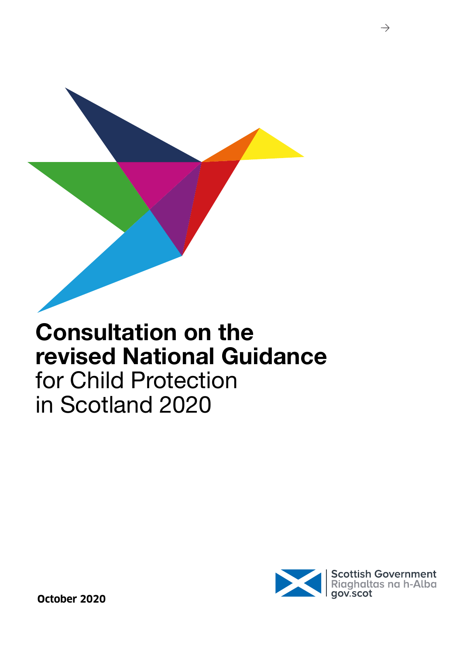



 $\rightarrow$ 

**October 2020**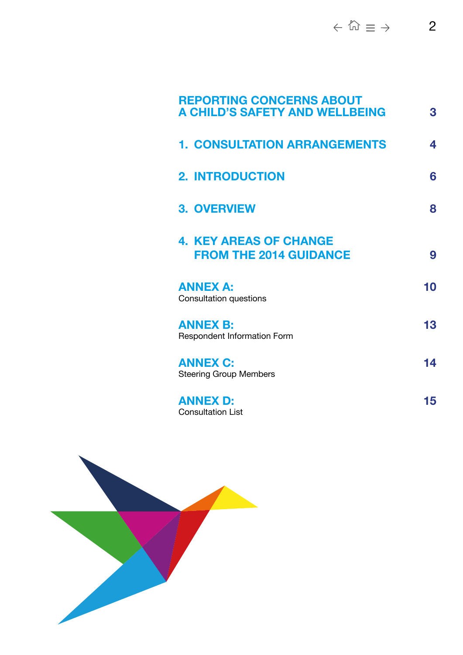| <b>REPORTING CONCERNS ABOUT</b><br><b>A CHILD'S SAFETY AND WELLBEING</b> | 3  |
|--------------------------------------------------------------------------|----|
| <b>1. CONSULTATION ARRANGEMENTS</b>                                      | 4  |
| <b>2. INTRODUCTION</b>                                                   | 6  |
| <b>3. OVERVIEW</b>                                                       | 8  |
| <b>4. KEY AREAS OF CHANGE</b><br><b>FROM THE 2014 GUIDANCE</b>           | 9  |
| <b>ANNEX A:</b><br><b>Consultation questions</b>                         | 10 |
| <b>ANNEX B:</b><br><b>Respondent Information Form</b>                    | 13 |
| <b>ANNEX C:</b><br><b>Steering Group Members</b>                         | 14 |
| <b>ANNEX D:</b><br><b>Consultation List</b>                              | 15 |

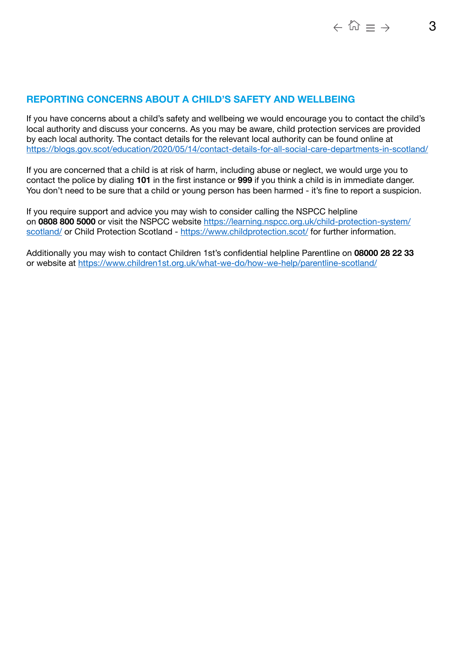# <span id="page-2-0"></span>**REPORTING CONCERNS ABOUT A CHILD'S SAFETY AND WELLBEING**

If you have concerns about a child's safety and wellbeing we would encourage you to contact the child's local authority and discuss your concerns. As you may be aware, child protection services are provided by each local authority. The contact details for the relevant local authority can be found online at <https://blogs.gov.scot/education/2020/05/14/contact-details-for-all-social-care-departments-in-scotland/>

If you are concerned that a child is at risk of harm, including abuse or neglect, we would urge you to contact the police by dialing **101** in the first instance or **999** if you think a child is in immediate danger. You don't need to be sure that a child or young person has been harmed - it's fine to report a suspicion.

If you require support and advice you may wish to consider calling the NSPCC helpline on **0808 800 5000** or visit the NSPCC website [https://learning.nspcc.org.uk/child-protection-system/](https://learning.nspcc.org.uk/child-protection-system/scotland/) [scotland/](https://learning.nspcc.org.uk/child-protection-system/scotland/) or Child Protection Scotland -<https://www.childprotection.scot/> for further information.

Additionally you may wish to contact Children 1st's confidential helpline Parentline on **08000 28 22 33** or website at <https://www.children1st.org.uk/what-we-do/how-we-help/parentline-scotland/>

 $\leftarrow$   $\widehat{\omega}$  =  $\rightarrow$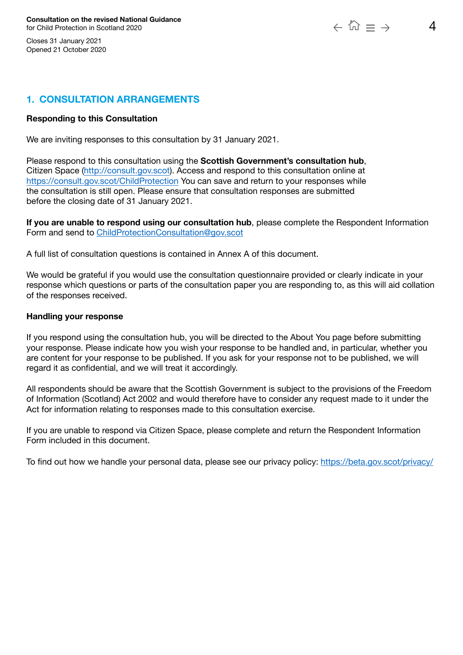<span id="page-3-0"></span>Closes 31 January 2021 Opened 21 October 2020

# **1. CONSULTATION ARRANGEMENTS**

### **Responding to this Consultation**

We are inviting responses to this consultation by 31 January 2021.

Please respond to this consultation using the **Scottish Government's consultation hub**, Citizen Space (<http://consult.gov.scot>). Access and respond to this consultation online at [https://consult.gov.scot/ChildProtection](https://consult.gov.scot/child-protection/consultation-on-the-revised-national-guidance) You can save and return to your responses while the consultation is still open. Please ensure that consultation responses are submitted before the closing date of 31 January 2021.

**If you are unable to respond using our consultation hub**, please complete the Respondent Information Form and send to [ChildProtectionConsultation@gov.scot](mailto:ChildProtectionConsultation@gov.scot)

A full list of consultation questions is contained in Annex A of this document.

We would be grateful if you would use the consultation questionnaire provided or clearly indicate in your response which questions or parts of the consultation paper you are responding to, as this will aid collation of the responses received.

### **Handling your response**

If you respond using the consultation hub, you will be directed to the About You page before submitting your response. Please indicate how you wish your response to be handled and, in particular, whether you are content for your response to be published. If you ask for your response not to be published, we will regard it as confidential, and we will treat it accordingly.

All respondents should be aware that the Scottish Government is subject to the provisions of the Freedom of Information (Scotland) Act 2002 and would therefore have to consider any request made to it under the Act for information relating to responses made to this consultation exercise.

If you are unable to respond via Citizen Space, please complete and return the Respondent Information Form included in this document.

To find out how we handle your personal data, please see our privacy policy: <https://beta.gov.scot/privacy/>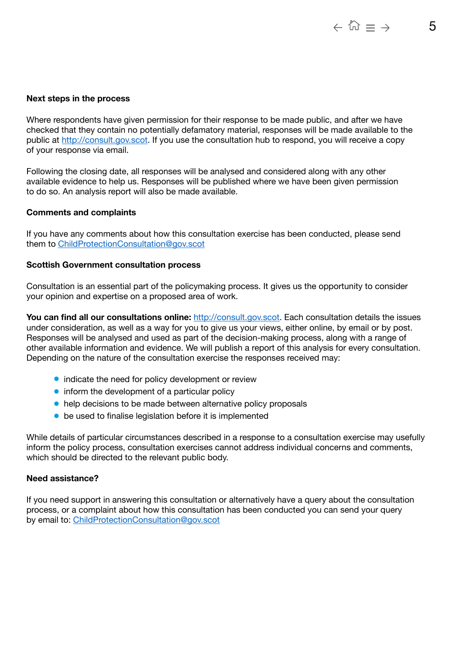#### **Next steps in the process**

Where respondents have given permission for their response to be made public, and after we have checked that they contain no potentially defamatory material, responses will be made available to the public at [http://consult.gov.scot.](http://consult.gov.scot) If you use the consultation hub to respond, you will receive a copy of your response via email.

Following the closing date, all responses will be analysed and considered along with any other available evidence to help us. Responses will be published where we have been given permission to do so. An analysis report will also be made available.

#### **Comments and complaints**

If you have any comments about how this consultation exercise has been conducted, please send them to [ChildProtectionConsultation@gov.scot](mailto:ChildProtectionConsultation%40gov.scot?subject=)

#### **Scottish Government consultation process**

Consultation is an essential part of the policymaking process. It gives us the opportunity to consider your opinion and expertise on a proposed area of work.

You can find all our consultations online: [http://consult.gov.scot.](http://consult.gov.scot) Each consultation details the issues under consideration, as well as a way for you to give us your views, either online, by email or by post. Responses will be analysed and used as part of the decision-making process, along with a range of other available information and evidence. We will publish a report of this analysis for every consultation. Depending on the nature of the consultation exercise the responses received may:

- indicate the need for policy development or review
- inform the development of a particular policy
- help decisions to be made between alternative policy proposals
- be used to finalise legislation before it is implemented

While details of particular circumstances described in a response to a consultation exercise may usefully inform the policy process, consultation exercises cannot address individual concerns and comments, which should be directed to the relevant public body.

#### **Need assistance?**

If you need support in answering this consultation or alternatively have a query about the consultation process, or a complaint about how this consultation has been conducted you can send your query by email to: [ChildProtectionConsultation@gov.scot](mailto:ChildProtectionConsultation@gov.scot)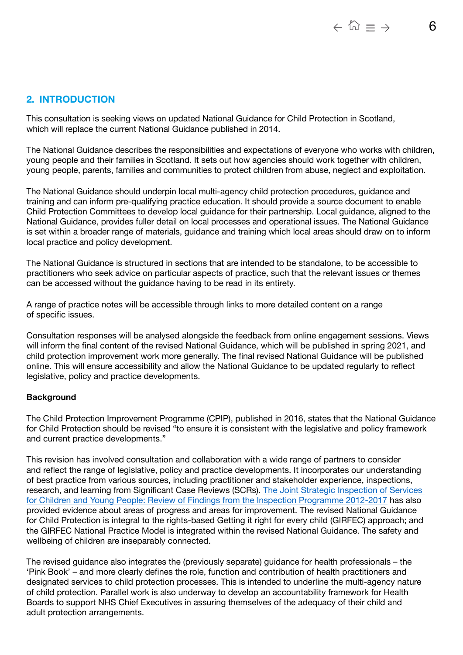# <span id="page-5-0"></span>**2. INTRODUCTION**

This consultation is seeking views on updated National Guidance for Child Protection in Scotland, which will replace the current National Guidance published in 2014.

The National Guidance describes the responsibilities and expectations of everyone who works with children, young people and their families in Scotland. It sets out how agencies should work together with children, young people, parents, families and communities to protect children from abuse, neglect and exploitation.

The National Guidance should underpin local multi-agency child protection procedures, guidance and training and can inform pre-qualifying practice education. It should provide a source document to enable Child Protection Committees to develop local guidance for their partnership. Local guidance, aligned to the National Guidance, provides fuller detail on local processes and operational issues. The National Guidance is set within a broader range of materials, guidance and training which local areas should draw on to inform local practice and policy development.

The National Guidance is structured in sections that are intended to be standalone, to be accessible to practitioners who seek advice on particular aspects of practice, such that the relevant issues or themes can be accessed without the guidance having to be read in its entirety.

A range of practice notes will be accessible through links to more detailed content on a range of specific issues.

Consultation responses will be analysed alongside the feedback from online engagement sessions. Views will inform the final content of the revised National Guidance, which will be published in spring 2021, and child protection improvement work more generally. The final revised National Guidance will be published online. This will ensure accessibility and allow the National Guidance to be updated regularly to reflect legislative, policy and practice developments.

### **Background**

The Child Protection Improvement Programme (CPIP), published in 2016, states that the National Guidance for Child Protection should be revised "to ensure it is consistent with the legislative and policy framework and current practice developments."

This revision has involved consultation and collaboration with a wide range of partners to consider and reflect the range of legislative, policy and practice developments. It incorporates our understanding of best practice from various sources, including practitioner and stakeholder experience, inspections, research, and learning from Significant Case Reviews (SCRs). [The Joint Strategic Inspection of Services](https://www.careinspectorate.com/images/documents/4781/Review%20of%20findings%20joint%20inspection%20services%20for%20children%20and%20young%20people%202012-17.pdf)  [for Children and Young People: Review of Findings from the Inspection Programme 2012-2017](https://www.careinspectorate.com/images/documents/4781/Review%20of%20findings%20joint%20inspection%20services%20for%20children%20and%20young%20people%202012-17.pdf) has also provided evidence about areas of progress and areas for improvement. The revised National Guidance for Child Protection is integral to the rights-based Getting it right for every child (GIRFEC) approach; and the GIRFEC National Practice Model is integrated within the revised National Guidance. The safety and wellbeing of children are inseparably connected.

The revised guidance also integrates the (previously separate) guidance for health professionals – the 'Pink Book' – and more clearly defines the role, function and contribution of health practitioners and designated services to child protection processes. This is intended to underline the multi-agency nature of child protection. Parallel work is also underway to develop an accountability framework for Health Boards to support NHS Chief Executives in assuring themselves of the adequacy of their child and adult protection arrangements.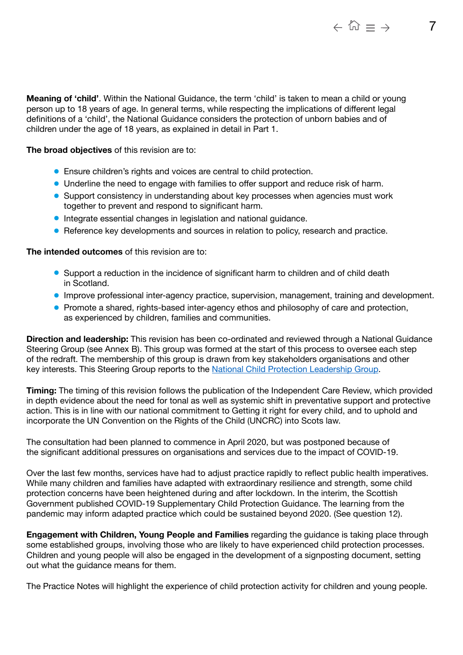**Meaning of 'child'**. Within the National Guidance, the term 'child' is taken to mean a child or young person up to 18 years of age. In general terms, while respecting the implications of different legal definitions of a 'child', the National Guidance considers the protection of unborn babies and of children under the age of 18 years, as explained in detail in Part 1.

**The broad objectives** of this revision are to:

- Ensure children's rights and voices are central to child protection.
- Underline the need to engage with families to offer support and reduce risk of harm.
- Support consistency in understanding about key processes when agencies must work together to prevent and respond to significant harm.
- Integrate essential changes in legislation and national guidance.
- Reference key developments and sources in relation to policy, research and practice.

**The intended outcomes** of this revision are to:

- Support a reduction in the incidence of significant harm to children and of child death in Scotland.
- Improve professional inter-agency practice, supervision, management, training and development.
- Promote a shared, rights-based inter-agency ethos and philosophy of care and protection, as experienced by children, families and communities.

**Direction and leadership:** This revision has been co-ordinated and reviewed through a National Guidance Steering Group (see Annex B). This group was formed at the start of this process to oversee each step of the redraft. The membership of this group is drawn from key stakeholders organisations and other key interests. This Steering Group reports to the [National Child Protection Leadership Group.](https://www.gov.scot/groups/national-child-protection-leadership-group/#:~:text=The%20role%20of%20the%20group,Government%20on%20proposed%20policy%20changes.)

**Timing:** The timing of this revision follows the publication of the Independent Care Review, which provided in depth evidence about the need for tonal as well as systemic shift in preventative support and protective action. This is in line with our national commitment to Getting it right for every child, and to uphold and incorporate the UN Convention on the Rights of the Child (UNCRC) into Scots law.

The consultation had been planned to commence in April 2020, but was postponed because of the significant additional pressures on organisations and services due to the impact of COVID-19.

Over the last few months, services have had to adjust practice rapidly to reflect public health imperatives. While many children and families have adapted with extraordinary resilience and strength, some child protection concerns have been heightened during and after lockdown. In the interim, the Scottish Government published COVID-19 Supplementary Child Protection Guidance. The learning from the pandemic may inform adapted practice which could be sustained beyond 2020. (See question 12).

**Engagement with Children, Young People and Families** regarding the guidance is taking place through some established groups, involving those who are likely to have experienced child protection processes. Children and young people will also be engaged in the development of a signposting document, setting out what the guidance means for them.

The Practice Notes will highlight the experience of child protection activity for children and young people.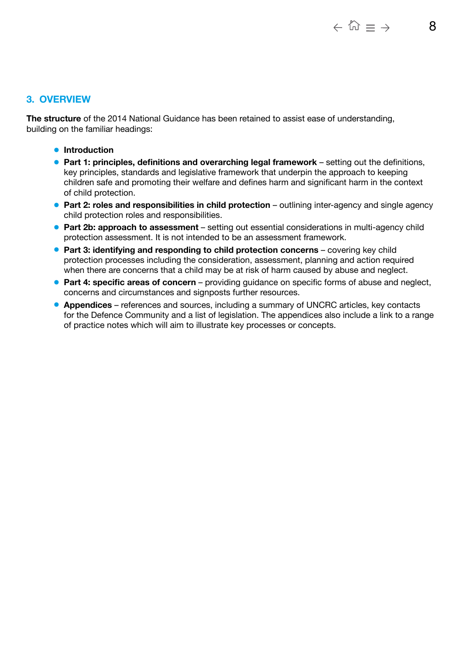# <span id="page-7-0"></span>**3. OVERVIEW**

**The structure** of the 2014 National Guidance has been retained to assist ease of understanding, building on the familiar headings:

- **Introduction**
- **Part 1: principles, definitions and overarching legal framework** setting out the definitions, key principles, standards and legislative framework that underpin the approach to keeping children safe and promoting their welfare and defines harm and significant harm in the context of child protection.
- **Part 2: roles and responsibilities in child protection** outlining inter-agency and single agency child protection roles and responsibilities.
- **Part 2b: approach to assessment** setting out essential considerations in multi-agency child protection assessment. It is not intended to be an assessment framework.
- **Part 3: identifying and responding to child protection concerns** covering key child protection processes including the consideration, assessment, planning and action required when there are concerns that a child may be at risk of harm caused by abuse and neglect.
- **Part 4: specific areas of concern** providing guidance on specific forms of abuse and neglect, concerns and circumstances and signposts further resources.
- **Appendices** references and sources, including a summary of UNCRC articles, key contacts for the Defence Community and a list of legislation. The appendices also include a link to a range of practice notes which will aim to illustrate key processes or concepts.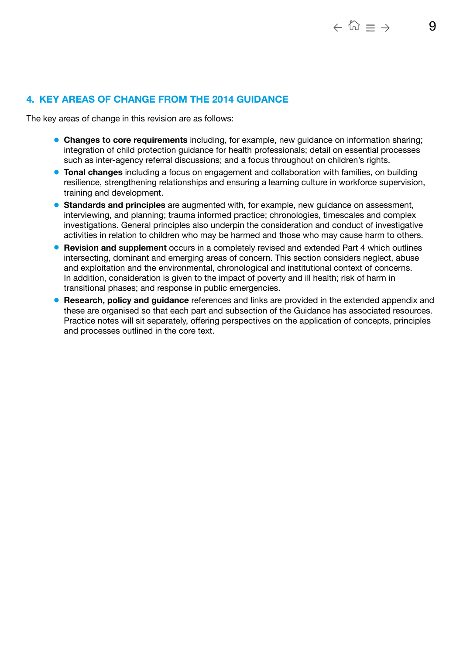# <span id="page-8-0"></span>**4. KEY AREAS OF CHANGE FROM THE 2014 GUIDANCE**

The key areas of change in this revision are as follows:

- **Changes to core requirements** including, for example, new guidance on information sharing; integration of child protection guidance for health professionals; detail on essential processes such as inter-agency referral discussions; and a focus throughout on children's rights.
- **Tonal changes** including a focus on engagement and collaboration with families, on building resilience, strengthening relationships and ensuring a learning culture in workforce supervision, training and development.
- **Standards and principles** are augmented with, for example, new guidance on assessment, interviewing, and planning; trauma informed practice; chronologies, timescales and complex investigations. General principles also underpin the consideration and conduct of investigative activities in relation to children who may be harmed and those who may cause harm to others.
- **Revision and supplement** occurs in a completely revised and extended Part 4 which outlines intersecting, dominant and emerging areas of concern. This section considers neglect, abuse and exploitation and the environmental, chronological and institutional context of concerns. In addition, consideration is given to the impact of poverty and ill health; risk of harm in transitional phases; and response in public emergencies.
- **Research, policy and guidance** references and links are provided in the extended appendix and these are organised so that each part and subsection of the Guidance has associated resources. Practice notes will sit separately, offering perspectives on the application of concepts, principles and processes outlined in the core text.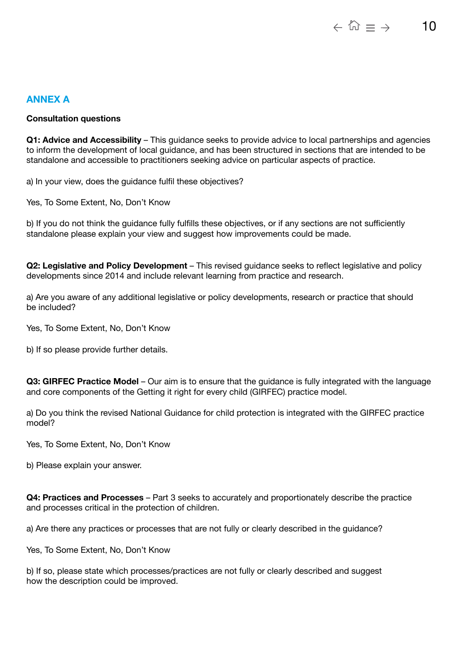# <span id="page-9-0"></span>**ANNEX A**

### **Consultation questions**

**Q1: Advice and Accessibility** – This guidance seeks to provide advice to local partnerships and agencies to inform the development of local guidance, and has been structured in sections that are intended to be standalone and accessible to practitioners seeking advice on particular aspects of practice.

a) In your view, does the guidance fulfil these objectives?

Yes, To Some Extent, No, Don't Know

b) If you do not think the guidance fully fulfills these objectives, or if any sections are not sufficiently standalone please explain your view and suggest how improvements could be made.

**Q2: Legislative and Policy Development** – This revised guidance seeks to reflect legislative and policy developments since 2014 and include relevant learning from practice and research.

a) Are you aware of any additional legislative or policy developments, research or practice that should be included?

Yes, To Some Extent, No, Don't Know

b) If so please provide further details.

**Q3: GIRFEC Practice Model** – Our aim is to ensure that the guidance is fully integrated with the language and core components of the Getting it right for every child (GIRFEC) practice model.

a) Do you think the revised National Guidance for child protection is integrated with the GIRFEC practice model?

Yes, To Some Extent, No, Don't Know

b) Please explain your answer.

**Q4: Practices and Processes** – Part 3 seeks to accurately and proportionately describe the practice and processes critical in the protection of children.

a) Are there any practices or processes that are not fully or clearly described in the guidance?

Yes, To Some Extent, No, Don't Know

b) If so, please state which processes/practices are not fully or clearly described and suggest how the description could be improved.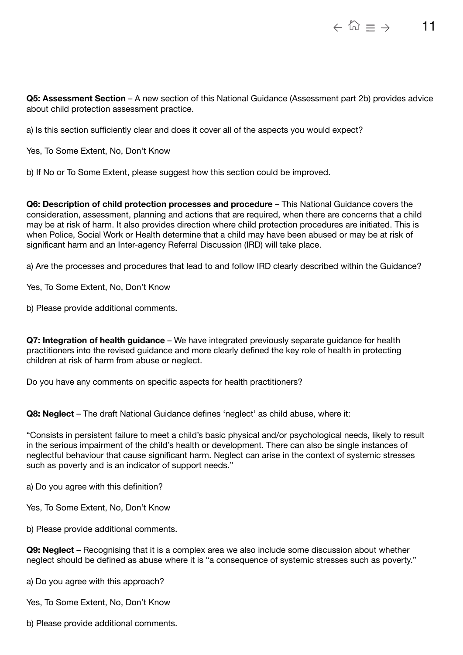**Q5: Assessment Section** – A new section of this National Guidance (Assessment part 2b) provides advice about child protection assessment practice.

a) Is this section sufficiently clear and does it cover all of the aspects you would expect?

Yes, To Some Extent, No, Don't Know

b) If No or To Some Extent, please suggest how this section could be improved.

**Q6: Description of child protection processes and procedure** – This National Guidance covers the consideration, assessment, planning and actions that are required, when there are concerns that a child may be at risk of harm. It also provides direction where child protection procedures are initiated. This is when Police, Social Work or Health determine that a child may have been abused or may be at risk of significant harm and an Inter-agency Referral Discussion (IRD) will take place.

a) Are the processes and procedures that lead to and follow IRD clearly described within the Guidance?

Yes, To Some Extent, No, Don't Know

b) Please provide additional comments.

**Q7: Integration of health guidance** – We have integrated previously separate guidance for health practitioners into the revised guidance and more clearly defined the key role of health in protecting children at risk of harm from abuse or neglect.

Do you have any comments on specific aspects for health practitioners?

**Q8: Neglect** – The draft National Guidance defines 'neglect' as child abuse, where it:

"Consists in persistent failure to meet a child's basic physical and/or psychological needs, likely to result in the serious impairment of the child's health or development. There can also be single instances of neglectful behaviour that cause significant harm. Neglect can arise in the context of systemic stresses such as poverty and is an indicator of support needs."

a) Do you agree with this definition?

Yes, To Some Extent, No, Don't Know

b) Please provide additional comments.

**Q9: Neglect** – Recognising that it is a complex area we also include some discussion about whether neglect should be defined as abuse where it is "a consequence of systemic stresses such as poverty."

a) Do you agree with this approach?

Yes, To Some Extent, No, Don't Know

b) Please provide additional comments.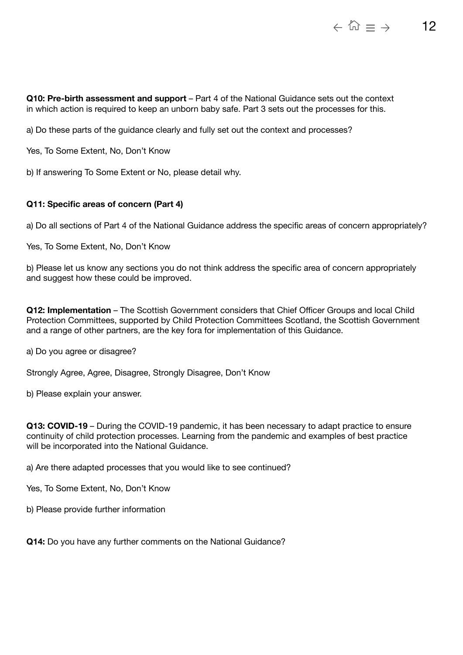**Q10: Pre-birth assessment and support** – Part 4 of the National Guidance sets out the context in which action is required to keep an unborn baby safe. Part 3 sets out the processes for this.

a) Do these parts of the guidance clearly and fully set out the context and processes?

Yes, To Some Extent, No, Don't Know

b) If answering To Some Extent or No, please detail why.

### **Q11: Specific areas of concern (Part 4)**

a) Do all sections of Part 4 of the National Guidance address the specific areas of concern appropriately?

Yes, To Some Extent, No, Don't Know

b) Please let us know any sections you do not think address the specific area of concern appropriately and suggest how these could be improved.

**Q12: Implementation** – The Scottish Government considers that Chief Officer Groups and local Child Protection Committees, supported by Child Protection Committees Scotland, the Scottish Government and a range of other partners, are the key fora for implementation of this Guidance.

a) Do you agree or disagree?

Strongly Agree, Agree, Disagree, Strongly Disagree, Don't Know

b) Please explain your answer.

**Q13: COVID-19** – During the COVID-19 pandemic, it has been necessary to adapt practice to ensure continuity of child protection processes. Learning from the pandemic and examples of best practice will be incorporated into the National Guidance.

a) Are there adapted processes that you would like to see continued?

Yes, To Some Extent, No, Don't Know

b) Please provide further information

**Q14:** Do you have any further comments on the National Guidance?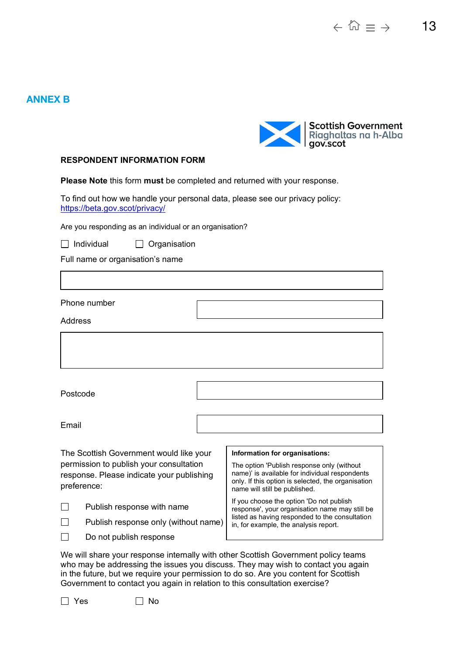# <span id="page-12-0"></span>**ANNEX B**



#### **RESPONDENT INFORMATION FORM**

**Please Note** this form **must** be completed and returned with your response.

To find out how we handle your personal data, please see our privacy policy: https://beta.gov.scot/privacy/

Are you responding as an individual or an organisation?

 $\Box$  Individual  $\Box$  Organisation

Full name or organisation's name

Phone number

Address

Postcode

Email

The Scottish Government would like your permission to publish your consultation response. Please indicate your publishing preference:

Publish response with name

 $\Box$ Publish response only (without name)



Do not publish response

#### **Information for organisations:**

The option 'Publish response only (without name)' is available for individual respondents only. If this option is selected, the organisation name will still be published.

If you choose the option 'Do not publish response', your organisation name may still be listed as having responded to the consultation in, for example, the analysis report.

We will share your response internally with other Scottish Government policy teams who may be addressing the issues you discuss. They may wish to contact you again in the future, but we require your permission to do so. Are you content for Scottish Government to contact you again in relation to this consultation exercise?

 $\Box$  Yes  $\Box$  No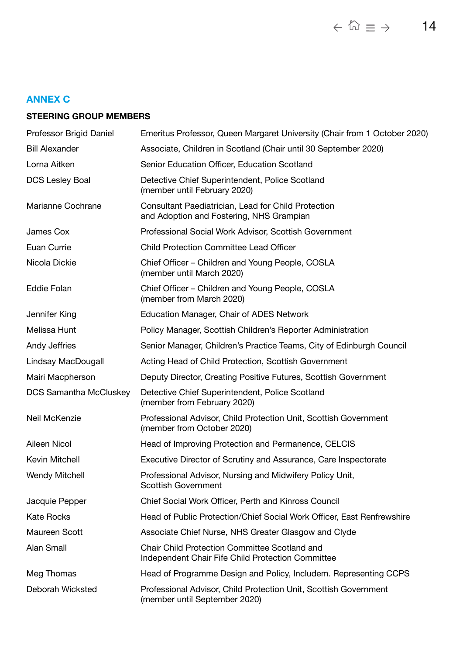# <span id="page-13-0"></span>**ANNEX C**

# **STEERING GROUP MEMBERS**

| Professor Brigid Daniel       | Emeritus Professor, Queen Margaret University (Chair from 1 October 2020)                          |
|-------------------------------|----------------------------------------------------------------------------------------------------|
| <b>Bill Alexander</b>         | Associate, Children in Scotland (Chair until 30 September 2020)                                    |
| Lorna Aitken                  | Senior Education Officer, Education Scotland                                                       |
| <b>DCS Lesley Boal</b>        | Detective Chief Superintendent, Police Scotland<br>(member until February 2020)                    |
| Marianne Cochrane             | Consultant Paediatrician, Lead for Child Protection<br>and Adoption and Fostering, NHS Grampian    |
| James Cox                     | Professional Social Work Advisor, Scottish Government                                              |
| Euan Currie                   | <b>Child Protection Committee Lead Officer</b>                                                     |
| Nicola Dickie                 | Chief Officer – Children and Young People, COSLA<br>(member until March 2020)                      |
| <b>Eddie Folan</b>            | Chief Officer – Children and Young People, COSLA<br>(member from March 2020)                       |
| Jennifer King                 | Education Manager, Chair of ADES Network                                                           |
| Melissa Hunt                  | Policy Manager, Scottish Children's Reporter Administration                                        |
| Andy Jeffries                 | Senior Manager, Children's Practice Teams, City of Edinburgh Council                               |
| Lindsay MacDougall            | Acting Head of Child Protection, Scottish Government                                               |
| Mairi Macpherson              | Deputy Director, Creating Positive Futures, Scottish Government                                    |
| <b>DCS Samantha McCluskey</b> | Detective Chief Superintendent, Police Scotland<br>(member from February 2020)                     |
| Neil McKenzie                 | Professional Advisor, Child Protection Unit, Scottish Government<br>(member from October 2020)     |
| Aileen Nicol                  | Head of Improving Protection and Permanence, CELCIS                                                |
| Kevin Mitchell                | Executive Director of Scrutiny and Assurance, Care Inspectorate                                    |
| <b>Wendy Mitchell</b>         | Professional Advisor, Nursing and Midwifery Policy Unit,<br><b>Scottish Government</b>             |
| Jacquie Pepper                | Chief Social Work Officer, Perth and Kinross Council                                               |
| <b>Kate Rocks</b>             | Head of Public Protection/Chief Social Work Officer, East Renfrewshire                             |
| Maureen Scott                 | Associate Chief Nurse, NHS Greater Glasgow and Clyde                                               |
| Alan Small                    | Chair Child Protection Committee Scotland and<br>Independent Chair Fife Child Protection Committee |
| Meg Thomas                    | Head of Programme Design and Policy, Includem. Representing CCPS                                   |
| Deborah Wicksted              | Professional Advisor, Child Protection Unit, Scottish Government<br>(member until September 2020)  |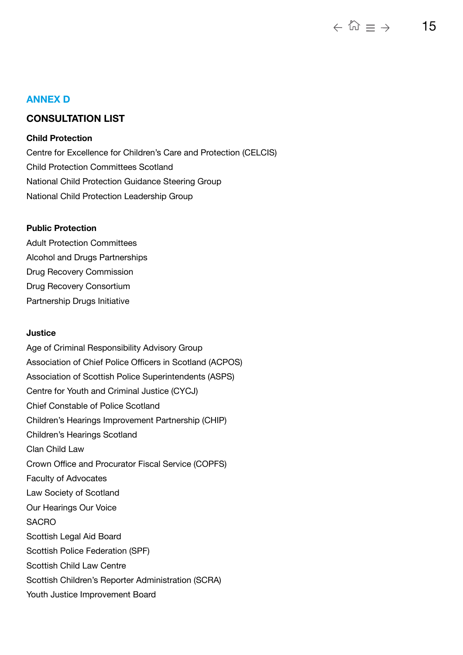# <span id="page-14-0"></span>**ANNEX D**

# **CONSULTATION LIST**

# **Child Protection**

Centre for Excellence for Children's Care and Protection (CELCIS) Child Protection Committees Scotland National Child Protection Guidance Steering Group National Child Protection Leadership Group

# **Public Protection**

Adult Protection Committees Alcohol and Drugs Partnerships Drug Recovery Commission Drug Recovery Consortium Partnership Drugs Initiative

# **Justice**

Age of Criminal Responsibility Advisory Group Association of Chief Police Officers in Scotland (ACPOS) Association of Scottish Police Superintendents (ASPS) Centre for Youth and Criminal Justice (CYCJ) Chief Constable of Police Scotland Children's Hearings Improvement Partnership (CHIP) Children's Hearings Scotland Clan Child Law Crown Office and Procurator Fiscal Service (COPFS) Faculty of Advocates Law Society of Scotland Our Hearings Our Voice **SACRO** Scottish Legal Aid Board Scottish Police Federation (SPF) Scottish Child Law Centre Scottish Children's Reporter Administration (SCRA) Youth Justice Improvement Board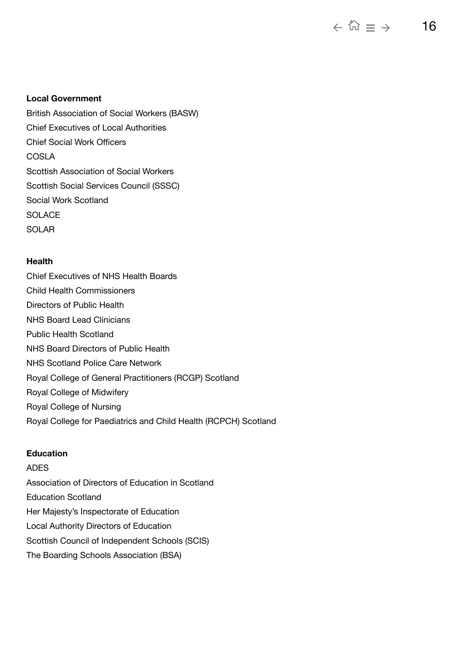#### $\leftarrow \stackrel{p}{\omega} \equiv \rightarrow$ 16

#### **Local Government**

British Association of Social Workers (BASW) Chief Executives of Local Authorities Chief Social Work Officers COSLA Scottish Association of Social Workers Scottish Social Services Council (SSSC) Social Work Scotland **SOLACE** SOLAR

### **Health**

Chief Executives of NHS Health Boards Child Health Commissioners Directors of Public Health NHS Board Lead Clinicians Public Health Scotland NHS Board Directors of Public Health NHS Scotland Police Care Network Royal College of General Practitioners (RCGP) Scotland Royal College of Midwifery Royal College of Nursing Royal College for Paediatrics and Child Health (RCPCH) Scotland

#### **Education**

# ADES

Association of Directors of Education in Scotland Education Scotland Her Majesty's Inspectorate of Education Local Authority Directors of Education Scottish Council of Independent Schools (SCIS) The Boarding Schools Association (BSA)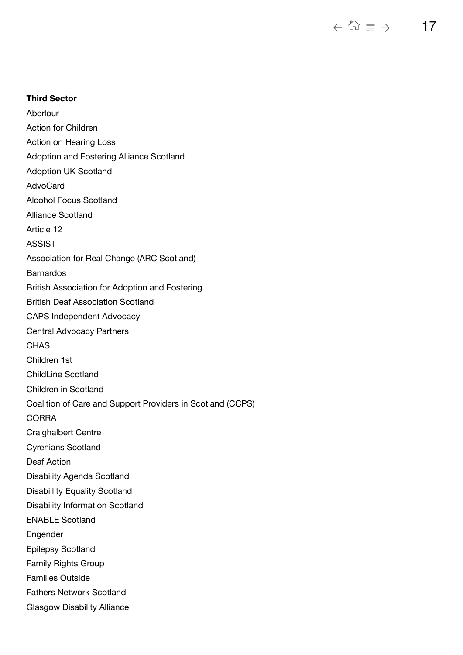$\leftarrow \stackrel{p_{\!\scriptscriptstyle (\!\chi\!)}\!}{\approx}\equiv\ \rightarrow$ 17

### **Third Sector**

Aberlour Action for Children Action on Hearing Loss Adoption and Fostering Alliance Scotland Adoption UK Scotland AdvoCard Alcohol Focus Scotland Alliance Scotland Article 12 ASSIST Association for Real Change (ARC Scotland) **Barnardos** British Association for Adoption and Fostering British Deaf Association Scotland CAPS Independent Advocacy Central Advocacy Partners **CHAS** Children 1st ChildLine Scotland Children in Scotland Coalition of Care and Support Providers in Scotland (CCPS) **CORRA** Craighalbert Centre Cyrenians Scotland Deaf Action Disability Agenda Scotland Disabillity Equality Scotland Disability Information Scotland ENABLE Scotland **Engender** Epilepsy Scotland Family Rights Group Families Outside Fathers Network Scotland Glasgow Disability Alliance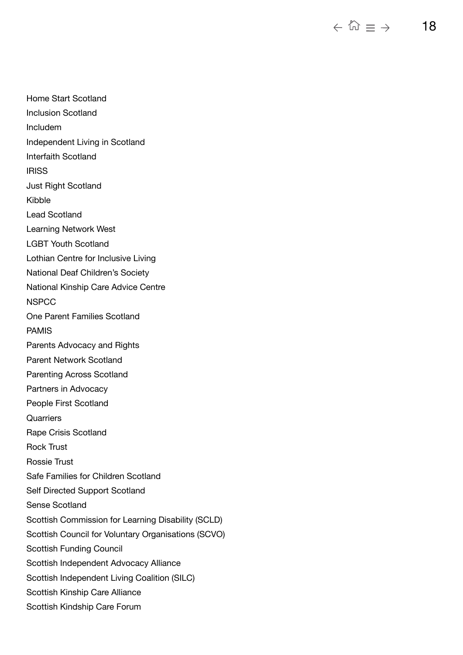$\leftarrow \mathbb{Q} \equiv \rightarrow$ 18

Home Start Scotland Inclusion Scotland Includem Independent Living in Scotland Interfaith Scotland **IRISS** Just Right Scotland Kibble Lead Scotland Learning Network West LGBT Youth Scotland Lothian Centre for Inclusive Living National Deaf Children's Society National Kinship Care Advice Centre **NSPCC** One Parent Families Scotland PAMIS Parents Advocacy and Rights Parent Network Scotland Parenting Across Scotland Partners in Advocacy People First Scotland **Quarriers** Rape Crisis Scotland Rock Trust Rossie Trust Safe Families for Children Scotland Self Directed Support Scotland Sense Scotland Scottish Commission for Learning Disability (SCLD) Scottish Council for Voluntary Organisations (SCVO) Scottish Funding Council Scottish Independent Advocacy Alliance Scottish Independent Living Coalition (SILC) Scottish Kinship Care Alliance Scottish Kindship Care Forum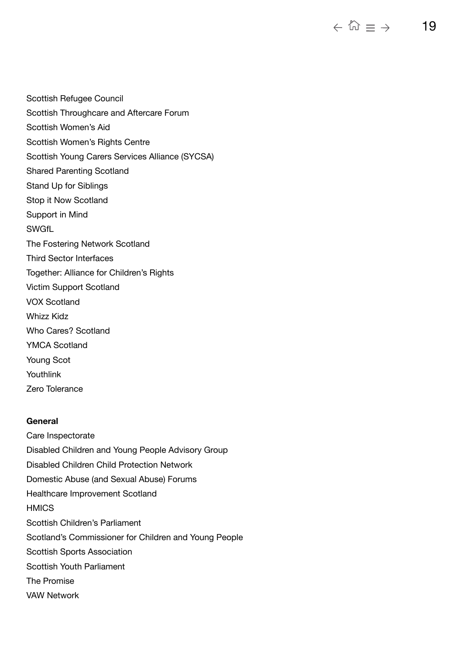Scottish Refugee Council Scottish Throughcare and Aftercare Forum Scottish Women's Aid Scottish Women's Rights Centre Scottish Young Carers Services Alliance (SYCSA) Shared Parenting Scotland Stand Up for Siblings Stop it Now Scotland Support in Mind **SWGfL** The Fostering Network Scotland Third Sector Interfaces Together: Alliance for Children's Rights Victim Support Scotland VOX Scotland Whizz Kidz Who Cares? Scotland YMCA Scotland Young Scot Youthlink Zero Tolerance

# **General**

Care Inspectorate Disabled Children and Young People Advisory Group Disabled Children Child Protection Network Domestic Abuse (and Sexual Abuse) Forums Healthcare Improvement Scotland **HMICS** Scottish Children's Parliament Scotland's Commissioner for Children and Young People Scottish Sports Association Scottish Youth Parliament The Promise VAW Network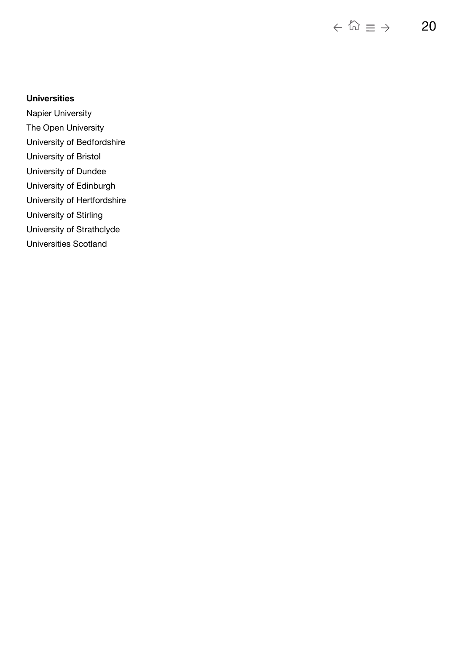$\leftarrow \mathbb{Q} \equiv \rightarrow$ 20

# **Universities**

Napier University

The Open University

- University of Bedfordshire
- University of Bristol
- University of Dundee
- University of Edinburgh
- University of Hertfordshire
- University of Stirling
- University of Strathclyde
- Universities Scotland